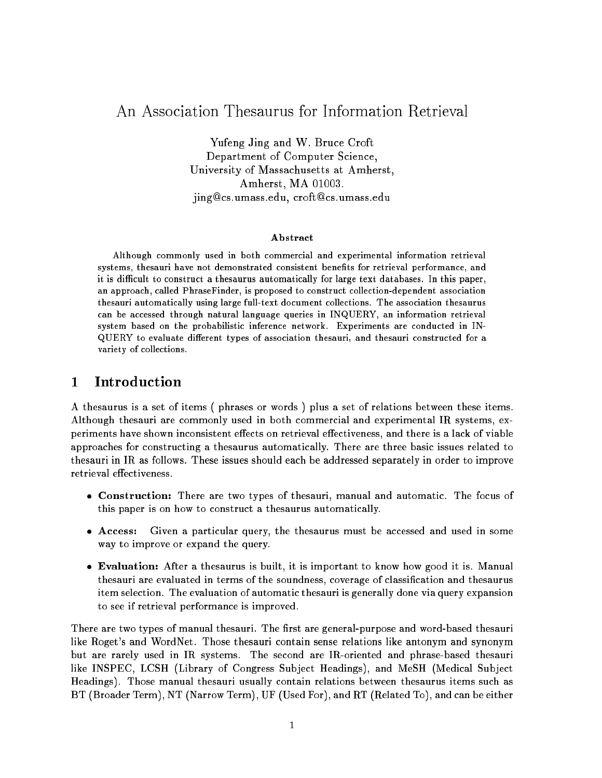# An Association Thesaurus for Information Retrieval

Yufeng Jing and W. Bruce Croft Department of Computer Science, University of Massachusetts at Amherst, Amherst, MA 01003. jing@cs.umass.edu, croft@cs.umass.edu

### Abstract

Although commonly used in both commercial and experimental information retrieval systems, thesauri have not demonstrated consistent benefits for retrieval performance, and it is difficult to construct a thesaurus automatically for large text databases. In this paper, an approach, called PhraseFinder, is proposed to construct collection-dependent association thesauri automatically using large full-text document collections. The association thesaurus can be accessed through natural language queries in INQUERY, an information retrieval system based on the probabilistic inference network. Experiments are conducted in IN-QUERY to evaluate different types of association thesauri, and thesauri constructed for a variety of collections.

#### $\mathbf 1$ **Introduction**

A thesaurus is a set of items ( phrases or words ) plus a set of relations between these items. Although thesauri are commonly used in both commercial and experimental IR systems, experiments have shown inconsistent effects on retrieval effectiveness, and there is a lack of viable approaches for constructing a thesaurus automatically. There are three basic issues related to thesauri in IR as follows. These issues should each be addressed separately in order to improve retrieval effectiveness.

- Construction: There are two types of thesauri, manual and automatic. The focus of this paper is on how to construct a thesaurus automatically.
- $\bullet$  Access: Given a particular query, the thesaurus must be accessed and used in some way to improve or expand the query.
- Evaluation: After a thesaurus is built, it is important to know how good it is. Manual thesauri are evaluated in terms of the soundness, coverage of classification and thesaurus item selection. The evaluation of automatic thesauri is generally done via query expansion to see if retrieval performance is improved.

There are two types of manual thesauri. The first are general-purpose and word-based thesauri like Roget's and WordNet. Those thesauri contain sense relations like antonym and synonym but are rarely used in IR systems. The second are IR-oriented and phrase-based thesauri like INSPEC, LCSH (Library of Congress Subject Headings), and MeSH (Medical Subject Headings). Those manual thesauri usually contain relations between thesaurus items such as BT (Broader Term), NT (Narrow Term), UF (Used For), and RT (Related To), and can be either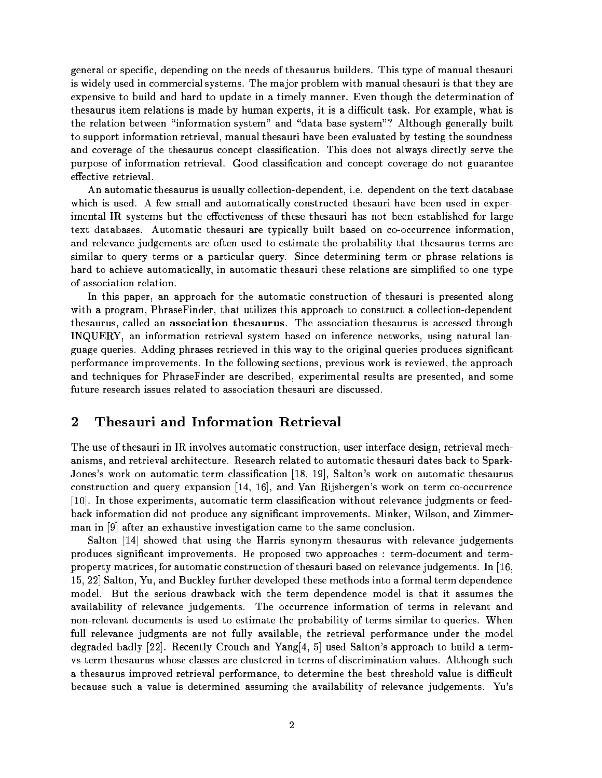general or specic, depending on the needs of thesaurus builders. This type of manual thesauri is widely used in commercial systems. The ma jor problem with manual thesauri is that they are expensive to build and hard to update in a timely manner. Even though the determination of thesaurus item relations is made by human experts, it is a difficult task. For example, what is the relation between "information system" and "data base system"? Although generally built to support information retrieval, manual thesauri have been evaluated by testing the soundness and coverage of the thesaurus concept classication. This does not always directly serve the purpose of information retrieval. Good classification and concept coverage do not guarantee effective retrieval.

An automatic thesaurus is usually collection-dependent, i.e. dependent on the text database which is used. A few small and automatically constructed the sauri have been used in experimental IR systems but the effectiveness of these thesauri has not been established for large text databases. Automatic thesauri are typically built based on co-occurrence information, and relevance judgements are often used to estimate the probability that thesaurus terms are similar to query terms or a particular query. Since determining term or phrase relations is hard to achieve automatically, in automatic thesauri these relations are simplified to one type of association relation.

In this paper, an approach for the automatic construction of thesauri is presented along with a program, PhraseFinder, that utilizes this approach to construct a collection-dependent thesaurus, called an association thesaurus. The association thesaurus is accessed through INQUERY, an information retrieval system based on inference networks, using natural language queries. Adding phrases retrieved in this way to the original queries produces signicant performance improvements. In the following sections, previous work is reviewed, the approach and techniques for PhraseFinder are described, experimental results are presented, and some future research issues related to association thesauri are discussed.

## 2 Thesauri and Information Retrieval

The use of thesauri in IR involves automatic construction, user interface design, retrieval mechanisms, and retrieval architecture. Research related to automatic thesauri dates back to Spark-Jones's work on automatic term classification [18, 19], Salton's work on automatic thesaurus construction and query expansion [14, 16], and Van Rijsbergen's work on term co-occurrence [10]. In those experiments, automatic term classication without relevance judgments or feedback information did not produce any signicant improvements. Minker, Wilson, and Zimmerman in [9] after an exhaustive investigation came to the same conclusion.

Salton [14] showed that using the Harris synonym thesaurus with relevance judgements produces signicant improvements. He proposed two approaches : term-document and termproperty matrices, for automatic construction of thesauri based on relevance judgements. In [16, 15, 22] Salton, Yu, and Buckley further developed these methods into a formal term dependence model. But the serious drawback with the term dependence model is that it assumes the availability of relevance judgements. The occurrence information of terms in relevant and non-relevant documents is used to estimate the probability of terms similar to queries. When full relevance judgments are not fully available, the retrieval performance under the model degraded badly [22]. Recently Crouch and Yang[4, 5] used Salton's approach to build a termvs-term thesaurus whose classes are clustered in terms of discrimination values. Although such a thesaurus improved retrieval performance, to determine the best threshold value is difficult because such a value is determined assuming the availability of relevance judgements. Yu's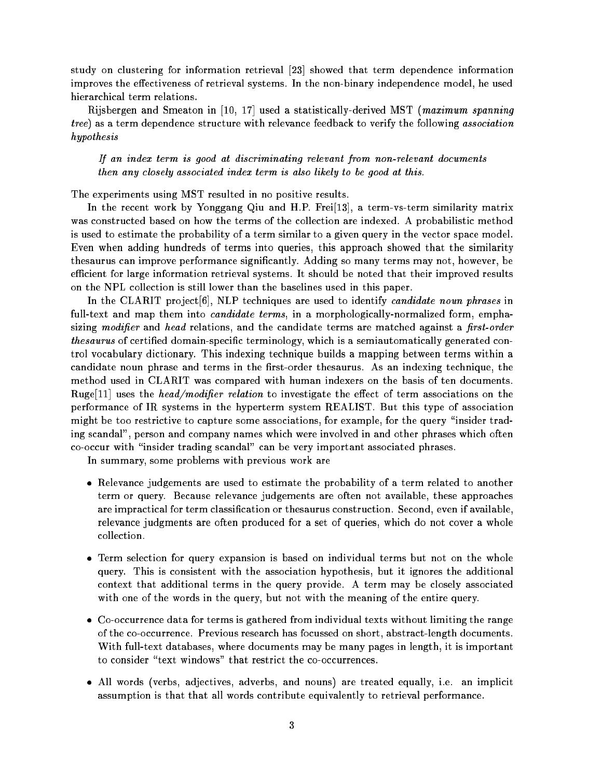study on clustering for information retrieval [23] showed that term dependence information improves the effectiveness of retrieval systems. In the non-binary independence model, he used hierarchical term relations.

Rijsbergen and Smeaton in [10, 17] used a statistically-derived MST (maximum spanning tree) as a term dependence structure with relevance feedback to verify the following association hypothesis

If an index term is good at discriminating relevant from non-relevant documents then any closely associated index term is also likely to be good at this.

The experiments using MST resulted in no positive results.

In the recent work by Yonggang Qiu and H.P. Frei[13], a term-vs-term similarity matrix was constructed based on how the terms of the collection are indexed. A probabilistic method is used to estimate the probability of a term similar to a given query in the vector space model. Even when adding hundreds of terms into queries, this approach showed that the similarity the saurus can improve performance significantly. Adding so many terms may not, however, be efficient for large information retrieval systems. It should be noted that their improved results on the NPL collection is still lower than the baselines used in this paper.

In the CLARIT project  $[6]$ , NLP techniques are used to identify candidate noun phrases in full-text and map them into *candidate terms*, in a morphologically-normalized form, emphasizing modifier and head relations, and the candidate terms are matched against a first-order thesaurus of certified domain-specific terminology, which is a semiautomatically generated control vocabulary dictionary. This indexing technique builds a mapping between terms within a candidate noun phrase and terms in the first-order thesaurus. As an indexing technique, the method used in CLARIT was compared with human indexers on the basis of ten documents. Ruge[11] uses the *head/modifier relation* to investigate the effect of term associations on the performance of IR systems in the hyperterm system REALIST. But this type of association might be too restrictive to capture some associations, for example, for the query "insider trading scandal", person and company names which were involved in and other phrases which often co-occur with \insider trading scandal" can be very important associated phrases.

In summary, some problems with previous work are

- Relevance judgements are used to estimate the probability of a term related to another term or query. Because relevance judgements are often not available, these approaches are impractical for term classication or thesaurus construction. Second, even if available, relevance judgments are often produced for a set of queries, which do not cover a whole collection.
- Term selection for query expansion is based on individual terms but not on the whole query. This is consistent with the association hypothesis, but it ignores the additional context that additional terms in the query provide. A term may be closely associated with one of the words in the query, but not with the meaning of the entire query.
- Co-occurrence data for terms is gathered from individual texts without limiting the range of the co-occurrence. Previous research has focussed on short, abstract-length documents. With full-text databases, where documents may be many pages in length, it is important to consider "text windows" that restrict the co-occurrences.
- All words (verbs, adjectives, adverbs, and nouns) are treated equally, i.e. an implicit assumption is that that all words contribute equivalently to retrieval performance.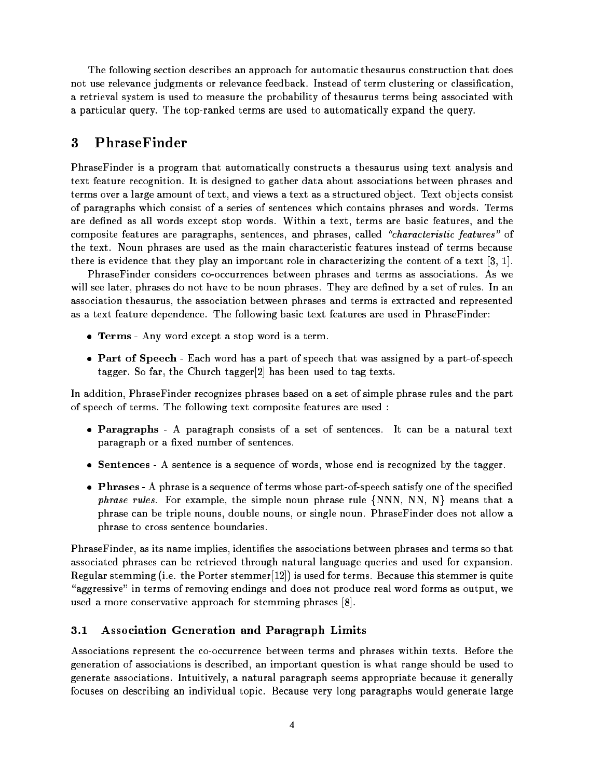The following section describes an approach for automatic thesaurus construction that does not use relevance judgments or relevance feedback. Instead of term clustering or classication, a retrieval system is used to measure the probability of thesaurus terms being associated with a particular query. The top-ranked terms are used to automatically expand the query.

## 3 PhraseFinder

PhraseFinder is a program that automatically constructs a thesaurus using text analysis and text feature recognition. It is designed to gather data about associations between phrases and terms over a large amount of text, and views a text as a structured object. Text objects consist of paragraphs which consist of a series of sentences which contains phrases and words. Terms are defined as all words except stop words. Within a text, terms are basic features, and the composite features are paragraphs, sentences, and phrases, called "characteristic features" of the text. Noun phrases are used as the main characteristic features instead of terms because there is evidence that they play an important role in characterizing the content of a text [3, 1].

PhraseFinder considers co-occurrences between phrases and terms as associations. As we will see later, phrases do not have to be noun phrases. They are defined by a set of rules. In an association thesaurus, the association between phrases and terms is extracted and represented as a text feature dependence. The following basic text features are used in PhraseFinder:

- Terms Any word except a stop word is a term.
- Part of Speech Each word has a part of speech that was assigned by a part-of-speech tagger. So far, the Church tagger[2] has been used to tag texts.

In addition, PhraseFinder recognizes phrases based on a set of simple phrase rules and the part of speech of terms. The following text composite features are used :

- Paragraphs A paragraph consists of a set of sentences. It can be a natural text paragraph or a fixed number of sentences.
- Sentences A sentence is a sequence of words, whose end is recognized by the tagger.
- Phrases A phrase is a sequence of terms whose part-of-speech satisfy one of the specied *phrase rules.* For example, the simple noun phrase rule  $\{NNN, NN, N\}$  means that a phrase can be triple nouns, double nouns, or single noun. PhraseFinder does not allow a phrase to cross sentence boundaries.

PhraseFinder, as its name implies, identifies the associations between phrases and terms so that associated phrases can be retrieved through natural language queries and used for expansion. Regular stemming (i.e. the Porter stemmer[12]) is used for terms. Because this stemmer is quite "aggressive" in terms of removing endings and does not produce real word forms as output, we used a more conservative approach for stemming phrases [8].

#### $3.1$ 3.1 Association Generation and Paragraph Limits

Associations represent the co-occurrence between terms and phrases within texts. Before the generation of associations is described, an important question is what range should be used to generate associations. Intuitively, a natural paragraph seems appropriate because it generally focuses on describing an individual topic. Because very long paragraphs would generate large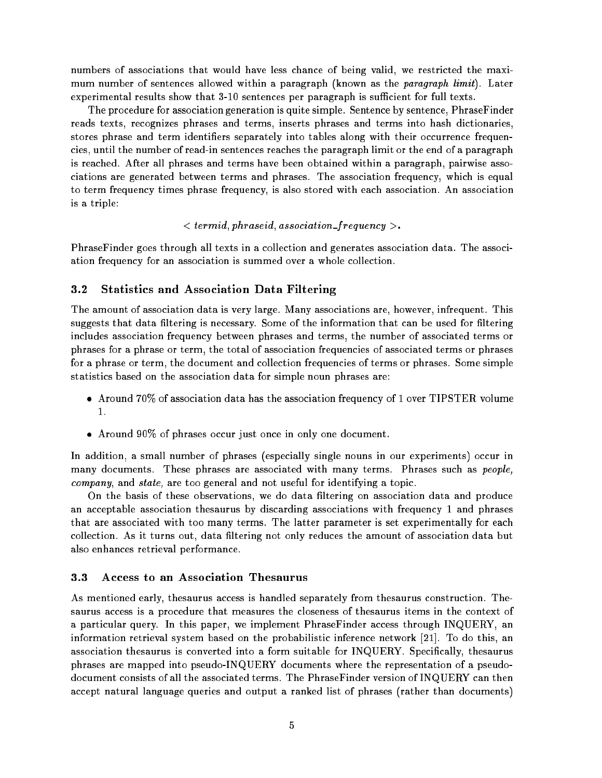numbers of associations that would have less chance of being valid, we restricted the maximum number of sentences allowed within a paragraph (known as the *paragraph limit*). Later experimental results show that 3-10 sentences per paragraph is sufficient for full texts.

The procedure for association generation is quite simple. Sentence by sentence, PhraseFinder reads texts, recognizes phrases and terms, inserts phrases and terms into hash dictionaries, stores phrase and term identifiers separately into tables along with their occurrence frequencies, until the number of read-in sentences reaches the paragraph limit or the end of a paragraph is reached. After all phrases and terms have been obtained within a paragraph, pairwise associations are generated between terms and phrases. The association frequency, which is equal to term frequency times phrase frequency, is also stored with each association. An association is a triple:

### $\epsilon$  termid, phraseid, association frequency  $\epsilon$ .

PhraseFinder goes through all texts in a collection and generates association data. The association frequency for an association is summed over a whole collection.

#### Statistics and Association Data Filtering  $3.2$

The amount of association data is very large. Many associations are, however, infrequent. This suggests that data filtering is necessary. Some of the information that can be used for filtering includes association frequency between phrases and terms, the number of associated terms or phrases for a phrase or term, the total of association frequencies of associated terms or phrases for a phrase or term, the document and collection frequencies of terms or phrases. Some simple statistics based on the association data for simple noun phrases are:

- $\sim$  and directly  $\sim$  association data has the association frequency of 2 over TIPS volume 1.
- Around 90% of phrases occur just once in only one document.

In addition, a small number of phrases (especially single nouns in our experiments) occur in many documents. These phrases are associated with many terms. Phrases such as people, company, and state, are too general and not useful for identifying a topic.

On the basis of these observations, we do data ltering on association data and produce an acceptable association thesaurus by discarding associations with frequency 1 and phrases that are associated with too many terms. The latter parameter is set experimentally for each collection. As it turns out, data filtering not only reduces the amount of association data but also enhances retrieval performance.

### 3.3 Access to an Association Thesaurus

As mentioned early, thesaurus access is handled separately from thesaurus construction. Thesaurus access is a procedure that measures the closeness of thesaurus items in the context of a particular query. In this paper, we implement PhraseFinder access through INQUERY, an information retrieval system based on the probabilistic inference network [21]. To do this, an association thesaurus is converted into a form suitable for INQUERY. Specically, thesaurus phrases are mapped into pseudo-INQUERY documents where the representation of a pseudodocument consists of all the associated terms. The PhraseFinder version of INQUERY can then accept natural language queries and output a ranked list of phrases (rather than documents)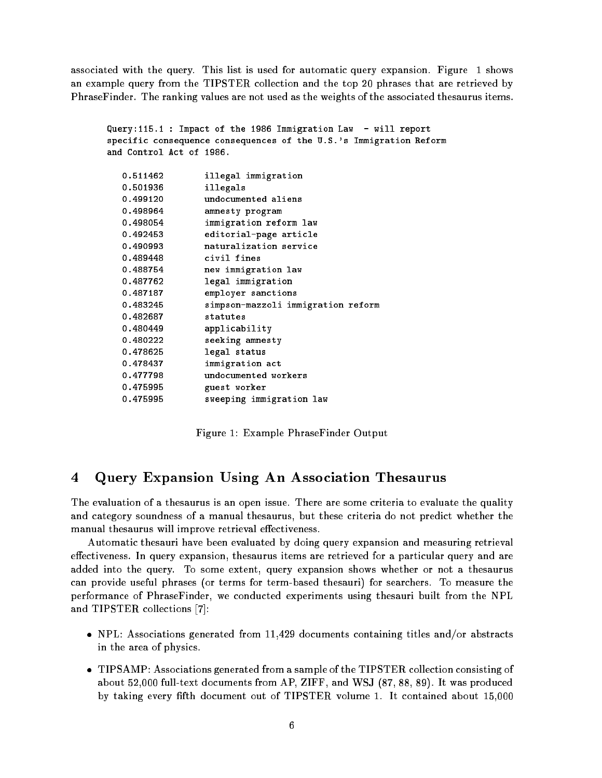associated with the query. This list is used for automatic query expansion. Figure 1 shows an example query from the TIPSTER collection and the top 20 phrases that are retrieved by PhraseFinder. The ranking values are not used as the weights of the associated thesaurus items.

 $\ddotsc$ 

|                          | Query:115.1 : Impact of the 1986 Immigration Law  – Will report    |
|--------------------------|--------------------------------------------------------------------|
|                          | specific consequence consequences of the U.S.'s Immigration Reform |
| and Control Act of 1986. |                                                                    |
|                          |                                                                    |
| 0.511462                 | illegal immigration                                                |
| 0.501936                 | illegals                                                           |
| 0.499120                 | undocumented aliens                                                |
| 0.498964                 | amnesty program                                                    |
| 0.498054                 | immigration reform law                                             |
| 0.492453                 | editorial-page article                                             |
| 0.490993                 | naturalization service                                             |
| 0.489448                 | civil fines                                                        |
| 0.488754                 | new immigration law                                                |
| 0.487762                 | legal immigration                                                  |
| 0.487187                 | employer sanctions                                                 |
| 0.483245                 | simpson-mazzoli immigration reform                                 |
| 0.482687                 | statutes                                                           |
| 0.480449                 | applicability                                                      |
| 0.480222                 | seeking amnesty                                                    |
| 0.478625                 | legal status                                                       |
| 0.478437                 | immigration act                                                    |
| 0.477798                 | undocumented workers                                               |
| 0.475995                 | guest worker                                                       |
| 0.475995                 | sweeping immigration law                                           |
|                          |                                                                    |

Figure 1: Example PhraseFinder Output

#### 4 Query Expansion Using An Association Thesaurus  $\overline{\mathbf{4}}$

The evaluation of a thesaurus is an open issue. There are some criteria to evaluate the quality and category soundness of a manual thesaurus, but these criteria do not predict whether the manual thesaurus will improve retrieval effectiveness.

Automatic thesauri have been evaluated by doing query expansion and measuring retrieval effectiveness. In query expansion, thesaurus items are retrieved for a particular query and are added into the query. To some extent, query expansion shows whether or not a thesaurus can provide useful phrases (or terms for term-based thesauri) for searchers. To measure the performance of PhraseFinder, we conducted experiments using thesauri built from the NPL and TIPSTER collections [7]:

- NPL: Associations generated from 11,429 documents containing titles and/or abstracts in the area of physics.
- TIPSAMP: Associations generated from a sample of the TIPSTER collection consisting of about 52,000 full-text documents from AP, ZIFF, and WSJ (87, 88, 89). It was produced by taking every fth document out of TIPSTER volume 1. It contained about 15,000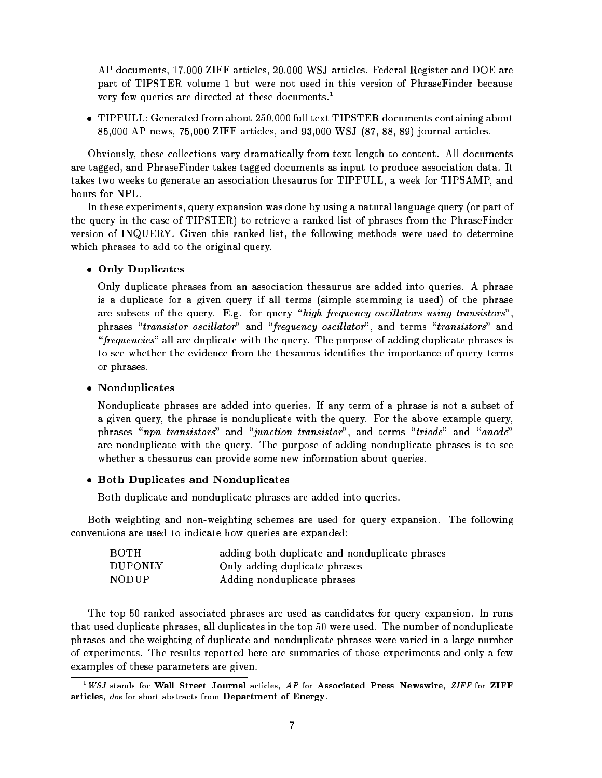AP documents, 17,000 ZIFF articles, 20,000 WSJ articles. Federal Register and DOE are part of TIPSTER volume 1 but were not used in this version of PhraseFinder because very few queries are directed at these documents.<sup>1</sup>

 $\cdot$  Tipper contains about 250,000 for a containing about 250,000 full text Tips  $\alpha$  about  $\alpha$  . 85,000 AP news, 75,000 ZIFF articles, and 93,000 WSJ (87, 88, 89) journal articles.

Obviously, these collections vary dramatically from text length to content. All documents are tagged, and PhraseFinder takes tagged documents as input to produce association data. It takes two weeks to generate an association thesaurus for TIPFULL, a week for TIPSAMP, and hours for NPL.

In these experiments, query expansion was done by using a natural language query (or part of the query in the case of TIPSTER) to retrieve a ranked list of phrases from the PhraseFinder version of INQUERY. Given this ranked list, the following methods were used to determine which phrases to add to the original query.

### Only Duplicates

Only duplicate phrases from an association thesaurus are added into queries. A phrase is a duplicate for a given query if all terms (simple stemming is used) of the phrase are subsets of the query. E.g. for query "high frequency oscillators using transistors", phrases "transistor oscillator" and "frequency oscillator", and terms "transistors" and "frequencies" all are duplicate with the query. The purpose of adding duplicate phrases is to see whether the evidence from the thesaurus identies the importance of query terms or phrases.

### non a secondo possesso e se

Nonduplicate phrases are added into queries. If any term of a phrase is not a subset of a given query, the phrase is nonduplicate with the query. For the above example query, phrases "npn transistors" and "junction transistor", and terms "triode" and "anode" are nonduplicate with the query. The purpose of adding nonduplicate phrases is to see whether a thesaurus can provide some new information about queries.

### Both Duplicates and Nonduplicates

Both duplicate and nonduplicate phrases are added into queries.

Both weighting and non-weighting schemes are used for query expansion. The following conventions are used to indicate how queries are expanded:

| <b>BOTH</b>    | adding both duplicate and nonduplicate phrases |
|----------------|------------------------------------------------|
| <b>DUPONLY</b> | Only adding duplicate phrases                  |
| NODUP          | Adding nonduplicate phrases                    |

The top 50 ranked associated phrases are used as candidates for query expansion. In runs that used duplicate phrases, all duplicates in the top 50 were used. The number of nonduplicate phrases and the weighting of duplicate and nonduplicate phrases were varied in a large number of experiments. The results reported here are summaries of those experiments and only a few examples of these parameters are given.

 $1 WSJ$  stands for Wall Street Journal articles,  $AP$  for Associated Press Newswire,  $ZIFF$  for  $\mathbf{ZIFF}$ articles, doe for short abstracts from Department of Energy.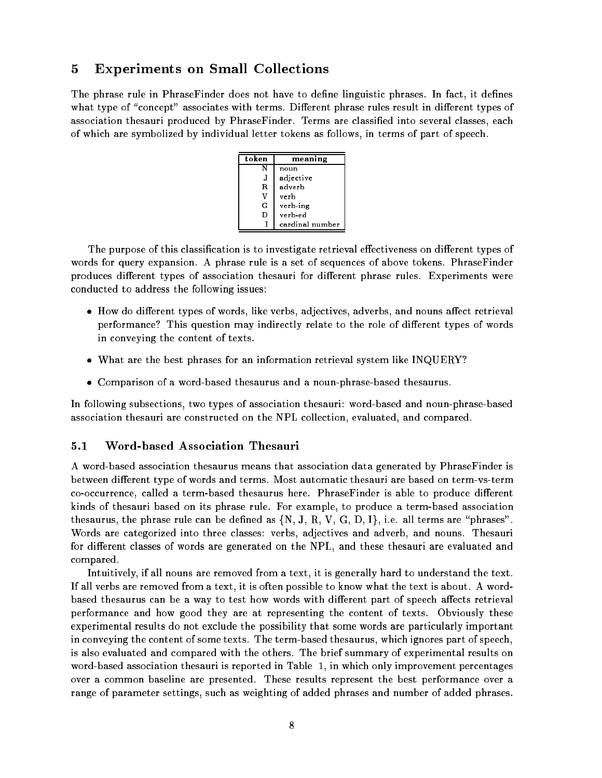## 5 Experiments on Small Collections

The phrase rule in PhraseFinder does not have to define linguistic phrases. In fact, it defines what type of "concept" associates with terms. Different phrase rules result in different types of association thesauri produced by PhraseFinder. Terms are classified into several classes, each of which are symbolized by individual letter tokens as follows, in terms of part of speech.

| token | meaning         |
|-------|-----------------|
| N     | noun            |
| Л     | adjective       |
| R     | adverb          |
| v     | verb            |
| G     | verb ing        |
| D     | verb ed         |
|       | cardinal number |

The purpose of this classification is to investigate retrieval effectiveness on different types of words for query expansion. A phrase rule is a set of sequences of above tokens. PhraseFinder produces different types of association thesauri for different phrase rules. Experiments were conducted to address the following issues:

- How do dierent types of words, like verbs, adjectives, adverbs, and nouns aect retrieval performance? This question may indirectly relate to the role of different types of words in conveying the content of texts.
- What are the best phrases for an information retrieval system in  $\mathbf{v}_i$  shows  $\mathbf{v}_i$
- Comparison of a word-based thesaurus and a noun-phrase-based thesaurus.

In following subsections, two types of association thesauri: word-based and noun-phrase-based association thesauri are constructed on the NPL collection, evaluated, and compared.

#### $5.1$ 5.1 Word-based Association Thesauri

A word-based association thesaurus means that association data generated by PhraseFinder is between different type of words and terms. Most automatic thesauri are based on term-vs-term co-occurrence, called a term-based thesaurus here. PhraseFinder is able to produce different kinds of thesauri based on its phrase rule. For example, to produce a term-based association the saurus, the phrase rule can be defined as  $\{N, J, R, V, G, D, I\}$ , i.e. all terms are "phrases". Words are categorized into three classes: verbs, adjectives and adverb, and nouns. Thesauri for different classes of words are generated on the NPL, and these thesauri are evaluated and compared.

Intuitively, if all nouns are removed from a text, it is generally hard to understand the text. If all verbs are removed from a text, it is often possible to know what the text is about. A wordbased thesaurus can be a way to test how words with different part of speech affects retrieval performance and how good they are at representing the content of texts. Obviously these experimental results do not exclude the possibility that some words are particularly important in conveying the content of some texts. The term-based thesaurus, which ignores part of speech, is also evaluated and compared with the others. The brief summary of experimental results on word-based association thesauri is reported in Table 1, in which only improvement percentages over a common baseline are presented. These results represent the best performance over a range of parameter settings, such as weighting of added phrases and number of added phrases.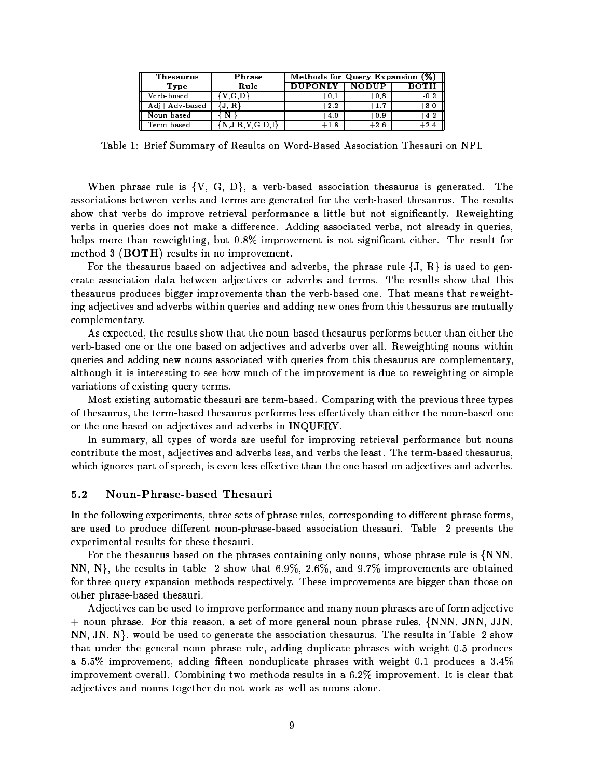| Thesaurus        | Phrase        | Methods for Query Expansion (%) |        |             |  |
|------------------|---------------|---------------------------------|--------|-------------|--|
| Type             | Rule          | <b>DUPONLY</b>                  | NODUP  | <b>BOTH</b> |  |
| Verb based       | GD.           | $+0.1$                          | $+0.8$ | $-0.2$      |  |
| $Adi+Adv$ -based | R             | $+2.2$                          | $+1.7$ | $+3.0$      |  |
| Noun based       |               | $+4.0$                          | $+0.9$ | $+4.2$      |  |
| Term based       | N J R V G D I | $+1.8$                          | $+2.6$ | $+2.4$      |  |

Table 1: Brief Summary of Results on Word-Based Association Thesauri on NPL

When phrase rule is  $\{V, G, D\}$ , a verb-based association thesaurus is generated. The associations between verbs and terms are generated for the verb-based thesaurus. The results show that verbs do improve retrieval performance a little but not signicantly. Reweighting verbs in queries does not make a difference. Adding associated verbs, not already in queries, helps more than reweighting, but 0.8% improvement is not significant either. The result for method 3  $(BOTH)$  results in no improvement.

For the thesaurus based on adjectives and adverbs, the phrase rule  $\{J, R\}$  is used to generate association data between adjectives or adverbs and terms. The results show that this thesaurus produces bigger improvements than the verb-based one. That means that reweighting adjectives and adverbs within queries and adding new ones from this thesaurus are mutually complementary.

As expected, the results show that the noun-based thesaurus performs better than either the verb-based one or the one based on adjectives and adverbs over all. Reweighting nouns within queries and adding new nouns associated with queries from this thesaurus are complementary, although it is interesting to see how much of the improvement is due to reweighting or simple variations of existing query terms.

Most existing automatic thesauri are term-based. Comparing with the previous three types of thesaurus, the term-based thesaurus performs less effectively than either the noun-based one or the one based on adjectives and adverbs in INQUERY.

In summary, all types of words are useful for improving retrieval performance but nouns contribute the most, adjectives and adverbs less, and verbs the least. The term-based thesaurus, which ignores part of speech, is even less effective than the one based on adjectives and adverbs.

### 5.2 Noun-Phrase-based Thesauri

In the following experiments, three sets of phrase rules, corresponding to different phrase forms are used to produce different noun-phrase-based association thesauri. Table 2 presents the experimental results for these thesauri.

For the thesaurus based on the phrases containing only nouns, whose phrase rule is fNNN, NN, N}, the results in table 2 show that  $6.9\%$ ,  $2.6\%$ , and  $9.7\%$  improvements are obtained for three query expansion methods respectively. These improvements are bigger than those on other phrase-based thesauri.

Adjectives can be used to improve performance and many noun phrases are of form adjective + noun phrase. For this reason, a set of more general noun phrase rules, fNNN, JNN, JJN,  $NN, JN, N$ , would be used to generate the association thesaurus. The results in Table 2 show that under the general noun phrase rule, adding duplicate phrases with weight 0.5 produces a 5.5% improvement, adding fteen nonduplicate phrases with weight 0.1 produces a 3.4% improvement overall. Combining two methods results in a 6.2% improvement. It is clear that adjectives and nouns together do not work as well as nouns alone.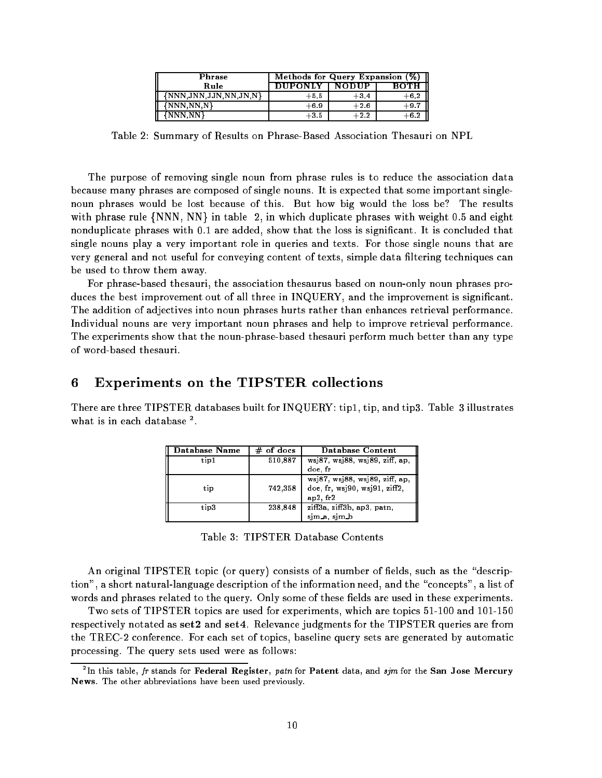| Phrase                | Methods for Query Expansion (%) |              |             |  |
|-----------------------|---------------------------------|--------------|-------------|--|
| Rule                  | <b>DUPONLY</b>                  | <b>NODUP</b> | <b>BOTH</b> |  |
| {NNN JNN JJN NN JN N} | $+5.5$                          | $+3.4$       | $+6.2$      |  |
| (NNN NN N}            | $+6.9$                          | $+2.6$       | $+9.7$      |  |
| NNN NN                | $+3.5$                          | $+22$        | $+6.2$      |  |

Table 2: Summary of Results on Phrase-Based Association Thesauri on NPL

The purpose of removing single noun from phrase rules is to reduce the association data because many phrases are composed of single nouns. It is expected that some important singlenoun phrases would be lost because of this. But how big would the loss be? The results with phrase rule  $\{NNN, NN\}$  in table 2, in which duplicate phrases with weight 0.5 and eight nonduplicate phrases with 0.1 are added, show that the loss is significant. It is concluded that single nouns play a very important role in queries and texts. For those single nouns that are very general and not useful for conveying content of texts, simple data ltering techniques can be used to throw them away.

For phrase-based thesauri, the association thesaurus based on noun-only noun phrases produces the best improvement out of all three in INQUERY, and the improvement is signicant. The addition of adjectives into noun phrases hurts rather than enhances retrieval performance. Individual nouns are very important noun phrases and help to improve retrieval performance. The experiments show that the noun-phrase-based thesauri perform much better than any type of word-based thesauri.

#### 6 6 Experiments on the TIPSTER collections

There are three TIPSTER databases built for INQUERY: tip1, tip, and tip3. Table 3 illustrates what is in each database <sup>2</sup> .

| Database Name | $#$ of docs | Database Content                                                                  |
|---------------|-------------|-----------------------------------------------------------------------------------|
| tip1          | 510.887     | wsj87, wsj88, wsj89, ziff, ap,                                                    |
|               |             | doe fr                                                                            |
| tip           | 742.358     | wsj87, wsj88, wsj89, ziff, ap,<br>doe, fr, wsj90, wsj91, ziff2,<br>$ap2$ , fr $2$ |
| tip3          | 238.848     | ziff3a, ziff3b, ap3, patn,                                                        |
|               |             | sjm_a, sjm_b                                                                      |

Table 3: TIPSTER Database Contents

An original TIPSTER topic (or query) consists of a number of fields, such as the "description", a short natural-language description of the information need, and the \concepts", a list of words and phrases related to the query. Only some of these fields are used in these experiments.

Two sets of TIPSTER topics are used for experiments, which are topics 51-100 and 101-150 respectively notated as set2 and set4. Relevance judgments for the TIPSTER queries are from the TREC-2 conference. For each set of topics, baseline query sets are generated by automatic processing. The query sets used were as follows:

 ${}^2{\rm In}$  this table,  $fr$  stands for  ${\bf Federal \; Register, \;path \; for \; Patent \; data, \; and \; sjm \; for \; the \; San \; Jose \; Mercury}$ News. The other abbreviations have been used previously.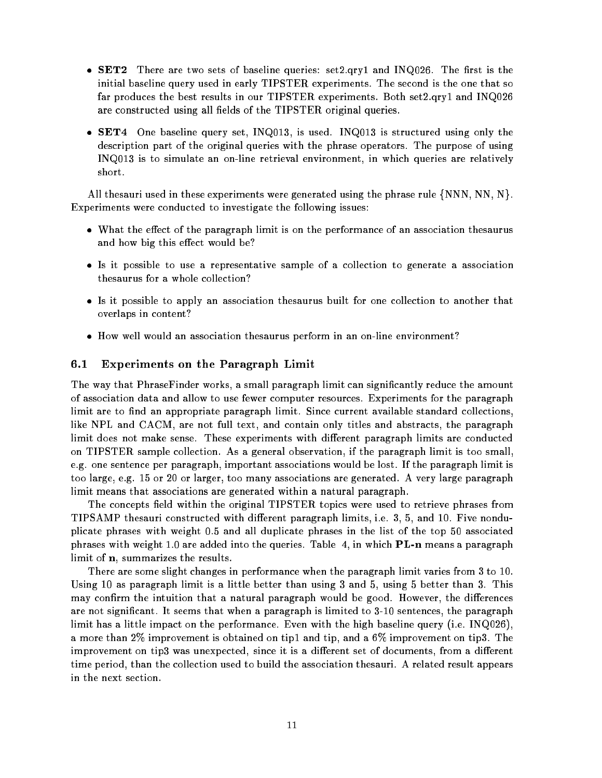- SET2 There are two sets of baseline queries: set2.qry1 and INQ026. The rst is the initial baseline query used in early TIPSTER experiments. The second is the one that so far produces the best results in our TIPSTER experiments. Both set2.qry1 and INQ026 are constructed using all fields of the TIPSTER original queries.
- SET4 One baseline query set, INQ013, is used. INQ013 is structured using only the description part of the original queries with the phrase operators. The purpose of using INQ013 is to simulate an on-line retrieval environment, in which queries are relatively short.

All thesauri used in these experiments were generated using the phrase rule  $\{NNN, NN, N\}$ . Experiments were conducted to investigate the following issues:

- What the eect of the paragraph limit is on the performance of an association thesaurus and how big this effect would be?
- Is it possible to use a representative sample of a collection to generate a association thesaurus for a whole collection?
- Is it possible to apply an association thesaurus built for one collection to another that overlaps in content?
- How well would an association thesaurus perform in an on-line environment?

#### Experiments on the Paragraph Limit  $6.1$

The way that PhraseFinder works, a small paragraph limit can signicantly reduce the amount of association data and allow to use fewer computer resources. Experiments for the paragraph limit are to find an appropriate paragraph limit. Since current available standard collections like NPL and CACM, are not full text, and contain only titles and abstracts, the paragraph limit does not make sense. These experiments with different paragraph limits are conducted on TIPSTER sample collection. As a general observation, if the paragraph limit is too small, e.g. one sentence per paragraph, important associations would be lost. If the paragraph limit is too large, e.g. 15 or 20 or larger, too many associations are generated. A very large paragraph limit means that associations are generated within a natural paragraph.

The concepts field within the original TIPSTER topics were used to retrieve phrases from TIPSAMP thesauri constructed with different paragraph limits, i.e. 3, 5, and 10. Five nonduplicate phrases with weight 0.5 and all duplicate phrases in the list of the top 50 associated phrases with weight 1.0 are added into the queries. Table 4, in which PL-n means a paragraph limit of n, summarizes the results.

There are some slight changes in performance when the paragraph limit varies from 3 to 10. Using 10 as paragraph limit is a little better than using 3 and 5, using 5 better than 3. This may confirm the intuition that a natural paragraph would be good. However, the differences are not significant. It seems that when a paragraph is limited to 3-10 sentences, the paragraph limit has a little impact on the performance. Even with the high baseline query (i.e. INQ026), a more than 2% improvement is obtained on tip1 and tip, and a 6% improvement on tip3. The improvement on tip3 was unexpected, since it is a different set of documents, from a different time period, than the collection used to build the association thesauri. A related result appears in the next section.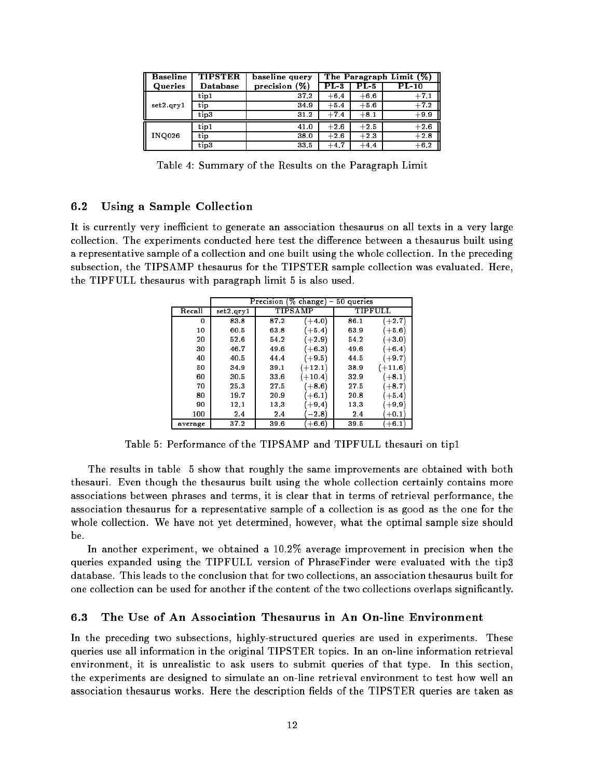| <b>Baseline</b> | <b>TIPSTER</b> | baseline query   | The Paragraph Limit (%) |                 |         |
|-----------------|----------------|------------------|-------------------------|-----------------|---------|
| Queries         | Database       | precision $(\%)$ | PL <sub>3</sub>         | PL <sub>5</sub> | $PL-10$ |
|                 | tip1           | 37 2             | $+6.4$                  | $+6.6$          | $+7.1$  |
| set2.qry1       | tip            | 349              | $+5.4$                  | $+5.6$          | $+7.2$  |
|                 | tip3           | 31 2             | $+7.4$                  | $+8.1$          | $+9.9$  |
| <b>INQ026</b>   | tip1           | 41 0             | $+2.6$                  | $+2.5$          | $+2.6$  |
|                 | tip            | 38 0             | $+2.6$                  | $+23$           | $+2.8$  |
|                 | tip3           | 335              | $+4.7$                  | $+4.4$          | $+6.2$  |

Table 4: Summary of the Results on the Paragraph Limit

### 6.2 Using a Sample Collection

It is currently very inefficient to generate an association thesaurus on all texts in a very large collection. The experiments conducted here test the difference between a thesaurus built using a representative sample of a collection and one built using the whole collection. In the preceding subsection, the TIPSAMP thesaurus for the TIPSTER sample collection was evaluated. Here, the TIPFULL thesaurus with paragraph limit 5 is also used.

|         | Precision<br>$-50$ queries<br>$(\%$ change) |      |                |      |          |
|---------|---------------------------------------------|------|----------------|------|----------|
| Recall  | $set2$ . $qry1$                             |      | <b>TIPSAMP</b> |      | TIPFULL  |
| 0       | 838                                         | 872  | $+4.0$         | 86 1 | $+2.7$   |
| 10      | 60.5                                        | 638  | $+5.4$         | 63.9 | $(+5.6)$ |
| 20      | 526                                         | 542  | $(+2.9)$       | 54 2 | $+3.0$   |
| 30      | 46.7                                        | 496  | $+63$          | 496  | $(+6.4)$ |
| 40      | 405                                         | 444  | (+95           | 445  | (+9 7    |
| 50      | 349                                         | 391  | $+12.1$        | 389  | $+116$   |
| 60      | 30.5                                        | 336  | $(+10.4)$      | 329  | $(+8.1)$ |
| 70      | 253                                         | 275  | $(+8.6)$       | 275  | $+8.7$   |
| 80      | 197                                         | 209  | $+6.1$         | 208  | $(+5.4)$ |
| 90      | 121                                         | 133  | $+94$          | 133  | $+9.9$   |
| 100     | 24                                          | 24   | -28            | 24   | $+0.1$   |
| average | 372                                         | 39.6 | $+6.6$         | 395  | $+6.1$   |

Table 5: Performance of the TIPSAMP and TIPFULL thesauri on tip1

The results in table 5 show that roughly the same improvements are obtained with both thesauri. Even though the thesaurus built using the whole collection certainly contains more associations between phrases and terms, it is clear that in terms of retrieval performance, the association thesaurus for a representative sample of a collection is as good as the one for the whole collection. We have not yet determined, however, what the optimal sample size should be.

In another experiment, we obtained a 10.2% average improvement in precision when the queries expanded using the TIPFULL version of PhraseFinder were evaluated with the tip3 database. This leads to the conclusion that for two collections, an association thesaurus built for one collection can be used for another if the content of the two collections overlaps signicantly.

### 6.3 The Use of An Association Thesaurus in An On-line Environment

In the preceding two subsections, highly-structured queries are used in experiments. These queries use all information in the original TIPSTER topics. In an on-line information retrieval environment, it is unrealistic to ask users to submit queries of that type. In this section, the experiments are designed to simulate an on-line retrieval environment to test how well an association thesaurus works. Here the description fields of the TIPSTER queries are taken as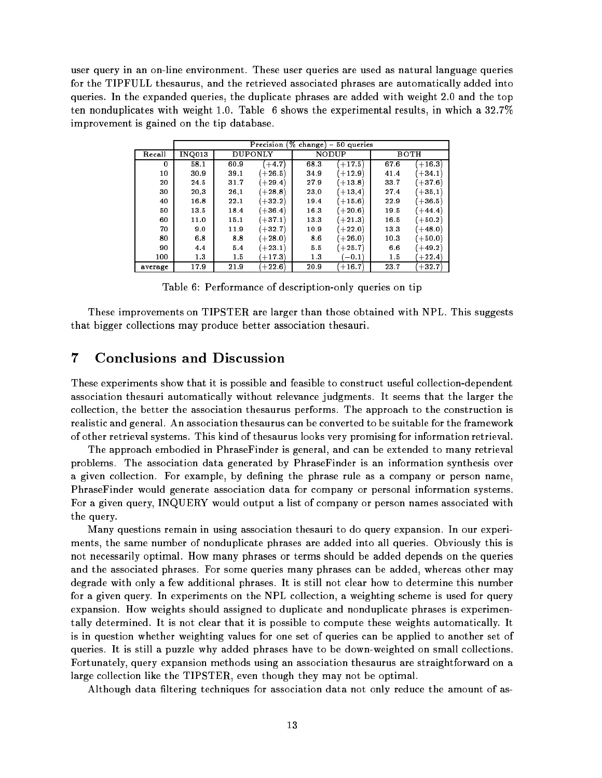user query in an on-line environment. These user queries are used as natural language queries for the TIPFULL thesaurus, and the retrieved associated phrases are automatically added into queries. In the expanded queries, the duplicate phrases are added with weight 2.0 and the top ten nonduplicates with weight 1.0. Table 6 shows the experimental results, in which a 32.7% improvement is gained on the tip database.

|          | Precision<br>$-50$ queries<br>(% change) |         |           |      |           |     |             |  |
|----------|------------------------------------------|---------|-----------|------|-----------|-----|-------------|--|
| Recall   | <b>INQ013</b>                            | DUPONLY |           |      | NODUP     |     | <b>BOTH</b> |  |
| $\bf{0}$ | 58 1                                     | 60.9    | $(+4.7)$  | 683  | $+17.5$   | 676 | $(+16.3)$   |  |
| 10       | 30.9                                     | 39 1    | $+26.5$   | 349  | $(+12.9)$ | 414 | $+34.1$     |  |
| 20       | 245                                      | 317     | $(+29.4)$ | 279  | $(+13.8)$ | 337 | $(+37.6)$   |  |
| 30       | 203                                      | 26 1    | $(+28.8)$ | 23.0 | $(+13.4)$ | 274 | $(+35.1)$   |  |
| 40       | 168                                      | 22 1    | $(+32.2)$ | 194  | $(+15.6)$ | 229 | $(+36.5)$   |  |
| 50       | 135                                      | 184     | $(+36.4)$ | 163  | $(+20.6)$ | 195 | $(+44.4)$   |  |
| 60       | 11.0                                     | 15 1    | $+37.1$   | 133  | $(+21.3)$ | 165 | $(+50.2)$   |  |
| 70       | 90                                       | 119     | $+32.7$   | 109  | $(+22.0)$ | 133 | $(+48.0)$   |  |
| 80       | 68                                       | 88      | $(+28.0)$ | 86   | $(+26.0)$ | 103 | $(+50.0)$   |  |
| 90       | 44                                       | 5.4     | $(+23.1)$ | 55   | $(+25.7)$ | 66  | $(+49.2)$   |  |
| 100      | 13                                       | 15      | $+17.3$   | 13   | $-0.1$    | 15  | $+22.4$     |  |
| average  | 179                                      | 219     | $+22.6$   | 209  | $+16.7$   | 237 | $+32.7$     |  |

Table 6: Performance of description-only queries on tip

These improvements on TIPSTER are larger than those obtained with NPL. This suggests that bigger collections may produce better association thesauri.

#### $\overline{7}$ 7 Conclusions and Discussion

These experiments show that it is possible and feasible to construct useful collection-dependent association thesauri automatically without relevance judgments. It seems that the larger the collection, the better the association thesaurus performs. The approach to the construction is realistic and general. An association thesaurus can be converted to be suitable for the framework of other retrieval systems. This kind of thesaurus looks very promising for information retrieval.

The approach embodied in PhraseFinder is general, and can be extended to many retrieval problems. The association data generated by PhraseFinder is an information synthesis over a given collection. For example, by defining the phrase rule as a company or person name, PhraseFinder would generate association data for company or personal information systems. For a given query, INQUERY would output a list of company or person names associated with the query.

Many questions remain in using association thesauri to do query expansion. In our experiments, the same number of nonduplicate phrases are added into all queries. Obviously this is not necessarily optimal. How many phrases or terms should be added depends on the queries and the associated phrases. For some queries many phrases can be added, whereas other may degrade with only a few additional phrases. It is still not clear how to determine this number for a given query. In experiments on the NPL collection, a weighting scheme is used for query expansion. How weights should assigned to duplicate and nonduplicate phrases is experimentally determined. It is not clear that it is possible to compute these weights automatically. It is in question whether weighting values for one set of queries can be applied to another set of queries. It is still a puzzle why added phrases have to be down-weighted on small collections. Fortunately, query expansion methods using an association thesaurus are straightforward on a large collection like the TIPSTER, even though they may not be optimal.

Although data filtering techniques for association data not only reduce the amount of as-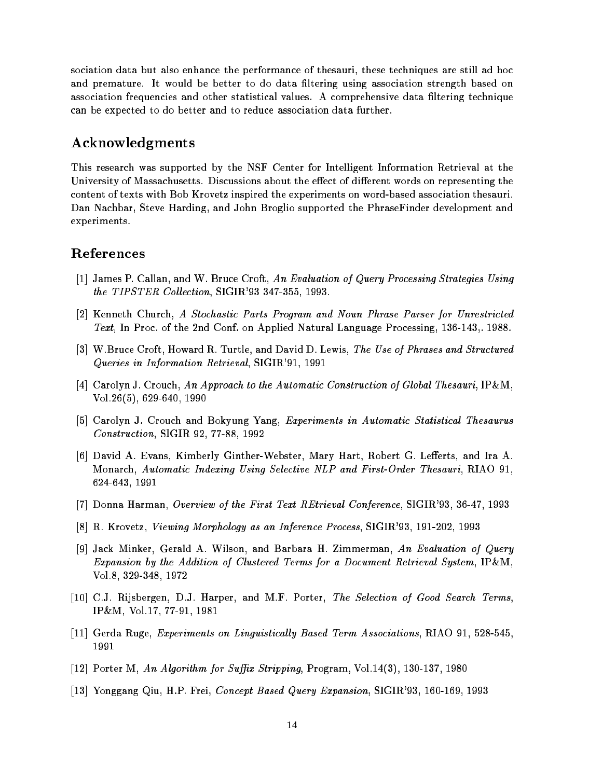sociation data but also enhance the performance of thesauri, these techniques are still ad hoc and premature. It would be better to do data filtering using association strength based on association frequencies and other statistical values. A comprehensive data filtering technique can be expected to do better and to reduce association data further.

## Acknowledgments

This research was supported by the NSF Center for Intelligent Information Retrieval at the University of Massachusetts. Discussions about the effect of different words on representing the content of texts with Bob Krovetz inspired the experiments on word-based association thesauri. Dan Nachbar, Steve Harding, and John Broglio supported the PhraseFinder development and experiments.

## References

- [1] James P. Callan, and W. Bruce Croft, An Evaluation of Query Processing Strategies Using the TIPSTER Collection, SIGIR'93 347-355, 1993.
- [2] Kenneth Church, A Stochastic Parts Program and Noun Phrase Parser for Unrestricted Text, In Proc. of the 2nd Conf. on Applied Natural Language Processing,  $136-143$ ,  $1988$ .
- [3] W.Bruce Croft, Howard R. Turtle, and David D. Lewis, The Use of Phrases and Structured Queries in Information Retrieval, SIGIR'91, 1991
- [4] Carolyn J. Crouch, An Approach to the Automatic Construction of Global Thesauri, IP&M, Vol.26(5), 629-640, 1990
- [5] Carolyn J. Crouch and Bokyung Yang, Experiments in Automatic Statistical Thesaurus Construction, SIGIR 92, 77-88, 1992
- [6] David A. Evans, Kimberly Ginther-Webster, Mary Hart, Robert G. Lefferts, and Ira A. Monarch, Automatic Indexing Using Selective NLP and First-Order Thesauri, RIAO 91, 624-643, 1991
- [7] Donna Harman, Overview of the First Text REtrieval Conference, SIGIR'93, 36-47, 1993
- [8] R. Krovetz, Viewing Morphology as an Inference Process, SIGIR'93, 191-202, 1993
- [9] Jack Minker, Gerald A. Wilson, and Barbara H. Zimmerman, An Evaluation of Query Expansion by the Addition of Clustered Terms for a Document Retrieval System, IP&M, Vol.8, 329-348, 1972
- [10] C.J. Rijsbergen, D.J. Harper, and M.F. Porter, The Selection of Good Search Terms IP&M, Vol.17, 77-91, 1981
- [11] Gerda Ruge, Experiments on Linguistically Based Term Associations, RIAO 91, 528-545, 1991
- [12] Porter M, An Algorithm for Suffix Stripping, Program, Vol.14(3), 130-137, 1980
- [13] Yonggang Qiu, H.P. Frei, Concept Based Query Expansion, SIGIR'93, 160-169, 1993